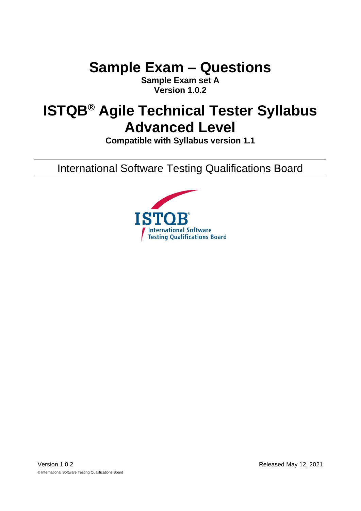# **Sample Exam – Questions**

**Sample Exam set A Version 1.0.2**

# **ISTQB® Agile Technical Tester Syllabus Advanced Level**

**Compatible with Syllabus version 1.1**

International Software Testing Qualifications Board

<span id="page-0-0"></span>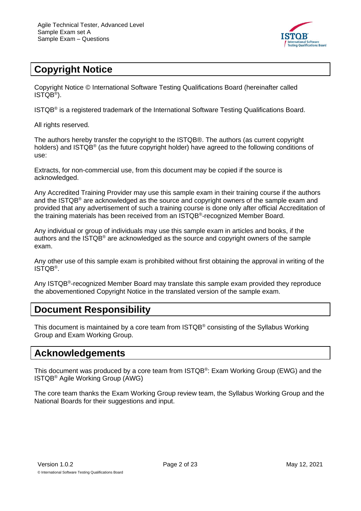

# <span id="page-1-0"></span>**Copyright Notice**

Copyright Notice © International Software Testing Qualifications Board (hereinafter called ISTQB® ).

ISTQB® is a registered trademark of the International Software Testing Qualifications Board.

All rights reserved.

The authors hereby transfer the copyright to the ISTQB®. The authors (as current copyright holders) and ISTQB® (as the future copyright holder) have agreed to the following conditions of use:

Extracts, for non-commercial use, from this document may be copied if the source is acknowledged.

Any Accredited Training Provider may use this sample exam in their training course if the authors and the ISTQB® are acknowledged as the source and copyright owners of the sample exam and provided that any advertisement of such a training course is done only after official Accreditation of the training materials has been received from an ISTQB®-recognized Member Board.

Any individual or group of individuals may use this sample exam in articles and books, if the authors and the ISTQB® are acknowledged as the source and copyright owners of the sample exam.

Any other use of this sample exam is prohibited without first obtaining the approval in writing of the ISTQB® .

Any ISTQB<sup>®</sup>-recognized Member Board may translate this sample exam provided they reproduce the abovementioned Copyright Notice in the translated version of the sample exam.

# <span id="page-1-1"></span>**Document Responsibility**

This document is maintained by a core team from ISTQB® consisting of the Syllabus Working Group and Exam Working Group.

#### <span id="page-1-2"></span>**Acknowledgements**

This document was produced by a core team from ISTQB<sup>®</sup>: Exam Working Group (EWG) and the ISTQB® Agile Working Group (AWG)

The core team thanks the Exam Working Group review team, the Syllabus Working Group and the National Boards for their suggestions and input.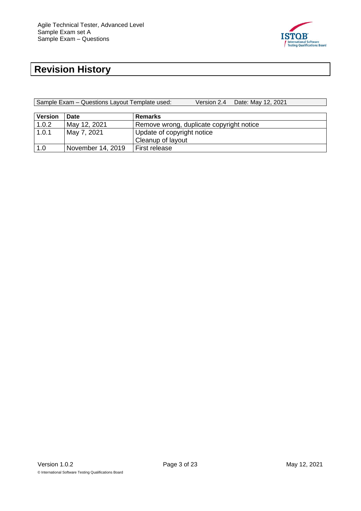

# <span id="page-2-0"></span>**Revision History**

Sample Exam – Questions Layout Template used: Version 2.4 Date: May 12, 2021

| <b>Version</b> | Date              | <b>Remarks</b>                           |
|----------------|-------------------|------------------------------------------|
| 1.0.2          | May 12, 2021      | Remove wrong, duplicate copyright notice |
| 1.0.1          | May 7, 2021       | Update of copyright notice               |
|                |                   | Cleanup of layout                        |
| 1.0            | November 14, 2019 | First release                            |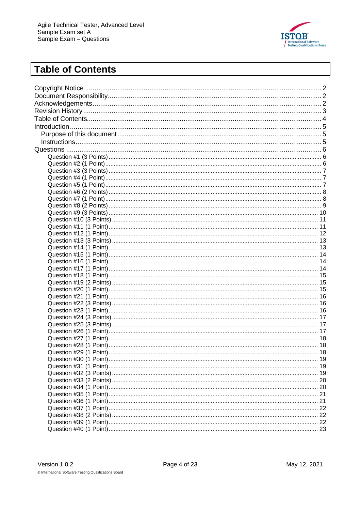

# <span id="page-3-0"></span>**Table of Contents**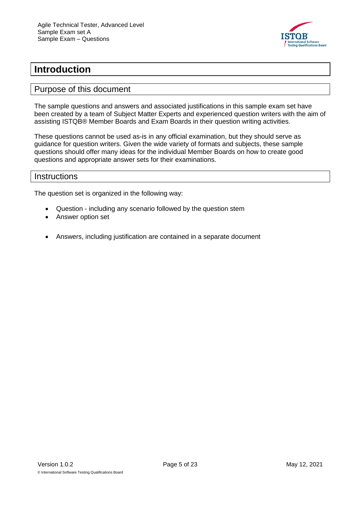

# <span id="page-4-0"></span>**Introduction**

#### <span id="page-4-1"></span>Purpose of this document

The sample questions and answers and associated justifications in this sample exam set have been created by a team of Subject Matter Experts and experienced question writers with the aim of assisting ISTQB® Member Boards and Exam Boards in their question writing activities.

These questions cannot be used as-is in any official examination, but they should serve as guidance for question writers. Given the wide variety of formats and subjects, these sample questions should offer many ideas for the individual Member Boards on how to create good questions and appropriate answer sets for their examinations.

#### <span id="page-4-2"></span>**Instructions**

The question set is organized in the following way:

- Question including any scenario followed by the question stem
- Answer option set
- Answers, including justification are contained in a separate document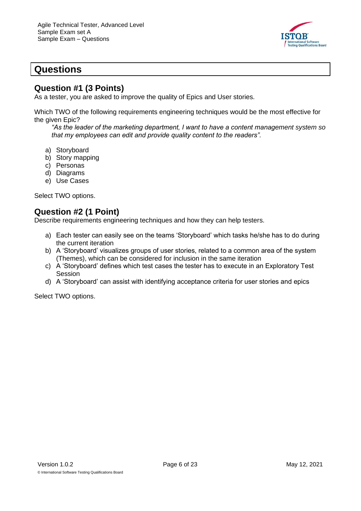

# <span id="page-5-0"></span>**Questions**

#### <span id="page-5-1"></span>**Question #1 (3 Points)**

As a tester, you are asked to improve the quality of Epics and User stories.

Which TWO of the following requirements engineering techniques would be the most effective for the given Epic?

*"As the leader of the marketing department, I want to have a content management system so that my employees can edit and provide quality content to the readers".*

- a) Storyboard
- b) Story mapping
- c) Personas
- d) Diagrams
- e) Use Cases

Select TWO options.

#### <span id="page-5-2"></span>**Question #2 (1 Point)**

Describe requirements engineering techniques and how they can help testers.

- a) Each tester can easily see on the teams 'Storyboard' which tasks he/she has to do during the current iteration
- b) A 'Storyboard' visualizes groups of user stories, related to a common area of the system (Themes), which can be considered for inclusion in the same iteration
- c) A 'Storyboard' defines which test cases the tester has to execute in an Exploratory Test **Session**
- d) A 'Storyboard' can assist with identifying acceptance criteria for user stories and epics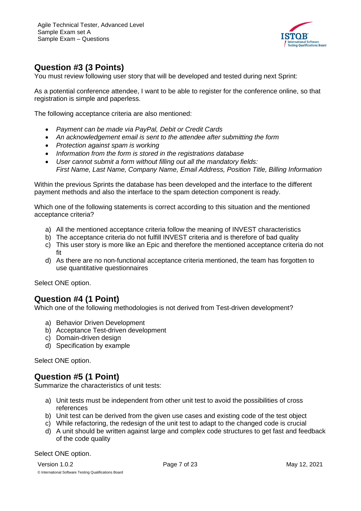

# <span id="page-6-0"></span>**Question #3 (3 Points)**

You must review following user story that will be developed and tested during next Sprint:

As a potential conference attendee, I want to be able to register for the conference online, so that registration is simple and paperless.

The following acceptance criteria are also mentioned:

- *Payment can be made via PayPal, Debit or Credit Cards*
- *An acknowledgement email is sent to the attendee after submitting the form*
- *Protection against spam is working*
- *Information from the form is stored in the registrations database*
- *User cannot submit a form without filling out all the mandatory fields: First Name, Last Name, Company Name, Email Address, Position Title, Billing Information*

Within the previous Sprints the database has been developed and the interface to the different payment methods and also the interface to the spam detection component is ready.

Which one of the following statements is correct according to this situation and the mentioned acceptance criteria?

- a) All the mentioned acceptance criteria follow the meaning of INVEST characteristics
- b) The acceptance criteria do not fulfill INVEST criteria and is therefore of bad quality
- c) This user story is more like an Epic and therefore the mentioned acceptance criteria do not fit
- d) As there are no non-functional acceptance criteria mentioned, the team has forgotten to use quantitative questionnaires

Select ONE option.

#### <span id="page-6-1"></span>**Question #4 (1 Point)**

Which one of the following methodologies is not derived from Test-driven development?

- a) Behavior Driven Development
- b) Acceptance Test-driven development
- c) Domain-driven design
- d) Specification by example

Select ONE option.

#### <span id="page-6-2"></span>**Question #5 (1 Point)**

Summarize the characteristics of unit tests:

- a) Unit tests must be independent from other unit test to avoid the possibilities of cross references
- b) Unit test can be derived from the given use cases and existing code of the test object
- c) While refactoring, the redesign of the unit test to adapt to the changed code is crucial
- d) A unit should be written against large and complex code structures to get fast and feedback of the code quality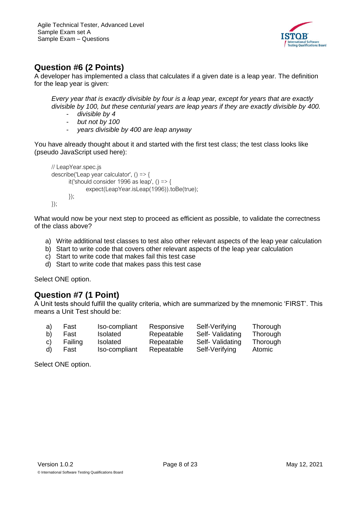

# <span id="page-7-0"></span>**Question #6 (2 Points)**

A developer has implemented a class that calculates if a given date is a leap year. The definition for the leap year is given:

*Every year that is exactly divisible by four is a leap year, except for years that are exactly divisible by 100, but these centurial years are leap years if they are exactly divisible by 400.*

- *divisible by 4*
- *but not by 100*
- *years divisible by 400 are leap anyway*

You have already thought about it and started with the first test class; the test class looks like (pseudo JavaScript used here):

```
// LeapYear.spec.js
describe('Leap year calculator', () => {
       it('should consider 1996 as leap', () \Rightarrow {
              expect(LeapYear.isLeap(1996)).toBe(true);
       });
\}:
```
What would now be your next step to proceed as efficient as possible, to validate the correctness of the class above?

- a) Write additional test classes to test also other relevant aspects of the leap year calculation
- b) Start to write code that covers other relevant aspects of the leap year calculation
- c) Start to write code that makes fail this test case
- d) Start to write code that makes pass this test case

Select ONE option.

#### <span id="page-7-1"></span>**Question #7 (1 Point)**

A Unit tests should fulfill the quality criteria, which are summarized by the mnemonic 'FIRST'. This means a Unit Test should be:

| a) | Fast    | Iso-compliant   | Responsive | Self-Verifying   | Thorough      |
|----|---------|-----------------|------------|------------------|---------------|
| b) | Fast    | <b>Isolated</b> | Repeatable | Self- Validating | Thorough      |
| C) | Failing | <b>Isolated</b> | Repeatable | Self- Validating | Thorough      |
| d) | Fast    | Iso-compliant   | Repeatable | Self-Verifying   | <b>Atomic</b> |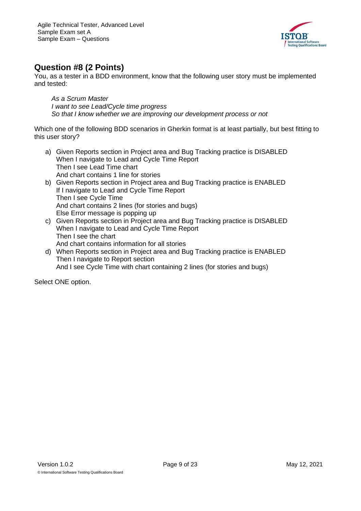

# <span id="page-8-0"></span>**Question #8 (2 Points)**

You, as a tester in a BDD environment, know that the following user story must be implemented and tested:

*As a Scrum Master I want to see Lead/Cycle time progress So that I know whether we are improving our development process or not*

Which one of the following BDD scenarios in Gherkin format is at least partially, but best fitting to this user story?

- a) Given Reports section in Project area and Bug Tracking practice is DISABLED When I navigate to Lead and Cycle Time Report Then I see Lead Time chart And chart contains 1 line for stories
- b) Given Reports section in Project area and Bug Tracking practice is ENABLED If I navigate to Lead and Cycle Time Report Then I see Cycle Time And chart contains 2 lines (for stories and bugs) Else Error message is popping up
- c) Given Reports section in Project area and Bug Tracking practice is DISABLED When I navigate to Lead and Cycle Time Report Then I see the chart And chart contains information for all stories
- d) When Reports section in Project area and Bug Tracking practice is ENABLED Then I navigate to Report section And I see Cycle Time with chart containing 2 lines (for stories and bugs)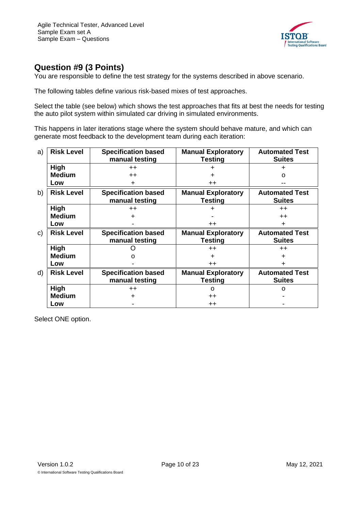

# <span id="page-9-0"></span>**Question #9 (3 Points)**

You are responsible to define the test strategy for the systems described in above scenario.

The following tables define various risk-based mixes of test approaches.

Select the table (see below) which shows the test approaches that fits at best the needs for testing the auto pilot system within simulated car driving in simulated environments.

This happens in later iterations stage where the system should behave mature, and which can generate most feedback to the development team during each iteration:

| a) | <b>Risk Level</b> | <b>Specification based</b><br>manual testing | <b>Manual Exploratory</b><br><b>Testing</b> | <b>Automated Test</b><br><b>Suites</b> |
|----|-------------------|----------------------------------------------|---------------------------------------------|----------------------------------------|
|    | <b>High</b>       | $++$                                         |                                             |                                        |
|    | <b>Medium</b>     | $++$                                         |                                             | O                                      |
|    | Low               |                                              | $++$                                        |                                        |
| b) | <b>Risk Level</b> | <b>Specification based</b><br>manual testing | <b>Manual Exploratory</b><br>Testing        | <b>Automated Test</b><br><b>Suites</b> |
|    | High              | $++$                                         |                                             | $++$                                   |
|    | <b>Medium</b>     |                                              |                                             | $++$                                   |
|    | Low               |                                              | $^{\mathrm{+}}$                             | $\ddot{}$                              |
| C) | <b>Risk Level</b> | <b>Specification based</b>                   | <b>Manual Exploratory</b>                   | <b>Automated Test</b>                  |
|    |                   | manual testing                               | <b>Testing</b>                              | <b>Suites</b>                          |
|    | <b>High</b>       |                                              | $++$                                        | $++$                                   |
|    | <b>Medium</b>     |                                              | +                                           |                                        |
|    | Low               |                                              | $++$                                        |                                        |
| d) | <b>Risk Level</b> | <b>Specification based</b>                   | <b>Manual Exploratory</b>                   | <b>Automated Test</b>                  |
|    |                   | manual testing                               | Testing                                     | <b>Suites</b>                          |
|    | High              | $++$                                         | $\Omega$                                    | $\Omega$                               |
|    | <b>Medium</b>     |                                              | $^{\mathrm{+}}$                             |                                        |
|    | Low               |                                              | $++$                                        |                                        |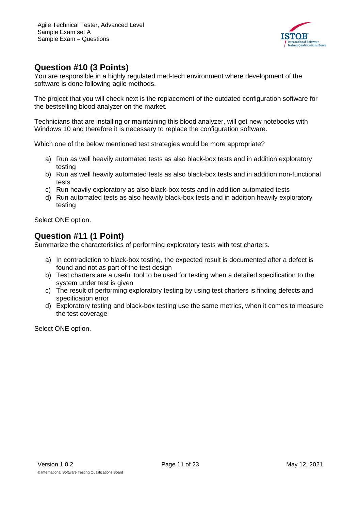

# <span id="page-10-0"></span>**Question #10 (3 Points)**

You are responsible in a highly regulated med-tech environment where development of the software is done following agile methods.

The project that you will check next is the replacement of the outdated configuration software for the bestselling blood analyzer on the market.

Technicians that are installing or maintaining this blood analyzer, will get new notebooks with Windows 10 and therefore it is necessary to replace the configuration software.

Which one of the below mentioned test strategies would be more appropriate?

- a) Run as well heavily automated tests as also black-box tests and in addition exploratory testing
- b) Run as well heavily automated tests as also black-box tests and in addition non-functional tests
- c) Run heavily exploratory as also black-box tests and in addition automated tests
- d) Run automated tests as also heavily black-box tests and in addition heavily exploratory testing

Select ONE option.

#### <span id="page-10-1"></span>**Question #11 (1 Point)**

Summarize the characteristics of performing exploratory tests with test charters.

- a) In contradiction to black-box testing, the expected result is documented after a defect is found and not as part of the test design
- b) Test charters are a useful tool to be used for testing when a detailed specification to the system under test is given
- c) The result of performing exploratory testing by using test charters is finding defects and specification error
- d) Exploratory testing and black-box testing use the same metrics, when it comes to measure the test coverage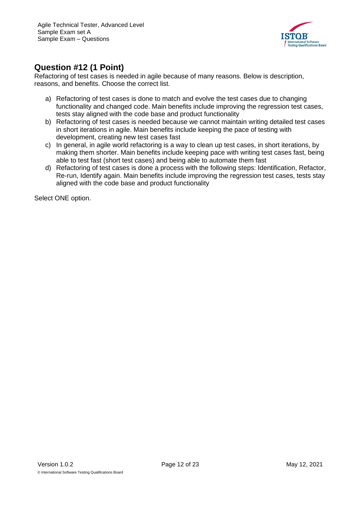

# <span id="page-11-0"></span>**Question #12 (1 Point)**

Refactoring of test cases is needed in agile because of many reasons. Below is description, reasons, and benefits. Choose the correct list.

- a) Refactoring of test cases is done to match and evolve the test cases due to changing functionality and changed code. Main benefits include improving the regression test cases, tests stay aligned with the code base and product functionality
- b) Refactoring of test cases is needed because we cannot maintain writing detailed test cases in short iterations in agile. Main benefits include keeping the pace of testing with development, creating new test cases fast
- c) In general, in agile world refactoring is a way to clean up test cases, in short iterations, by making them shorter. Main benefits include keeping pace with writing test cases fast, being able to test fast (short test cases) and being able to automate them fast
- d) Refactoring of test cases is done a process with the following steps: Identification, Refactor, Re-run, Identify again. Main benefits include improving the regression test cases, tests stay aligned with the code base and product functionality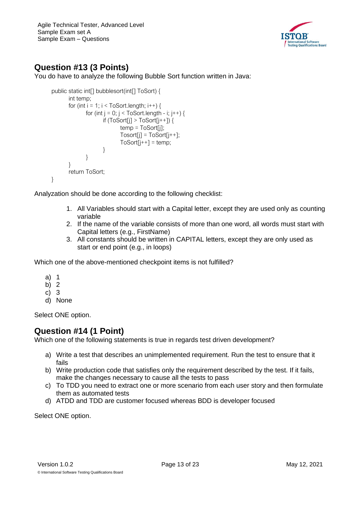Agile Technical Tester, Advanced Level Sample Exam set A Sample Exam – Questions



# <span id="page-12-0"></span>**Question #13 (3 Points)**

You do have to analyze the following Bubble Sort function written in Java:

```
public static int[] bubblesort(int[] ToSort) {
       int temp;
       for (int i = 1; i < ToSort.length; i++) {
              for (int j = 0; j < ToSort.length - i; j++) {
                     if (ToSort[i] > ToSort[i++]) {
                             temp = ToSort[j];
                             Tosort[j] = ToSort[j++];ToSort[j++] = temp;}
              }
       }
       return ToSort;
}
```
Analyzation should be done according to the following checklist:

- 1. All Variables should start with a Capital letter, except they are used only as counting variable
- 2. If the name of the variable consists of more than one word, all words must start with Capital letters (e.g., FirstName)
- 3. All constants should be written in CAPITAL letters, except they are only used as start or end point (e.g., in loops)

Which one of the above-mentioned checkpoint items is not fulfilled?

- a) 1
- b) 2
- c) 3
- d) None

Select ONE option.

#### <span id="page-12-1"></span>**Question #14 (1 Point)**

Which one of the following statements is true in regards test driven development?

- a) Write a test that describes an unimplemented requirement. Run the test to ensure that it fails
- b) Write production code that satisfies only the requirement described by the test. If it fails, make the changes necessary to cause all the tests to pass
- c) To TDD you need to extract one or more scenario from each user story and then formulate them as automated tests
- d) ATDD and TDD are customer focused whereas BDD is developer focused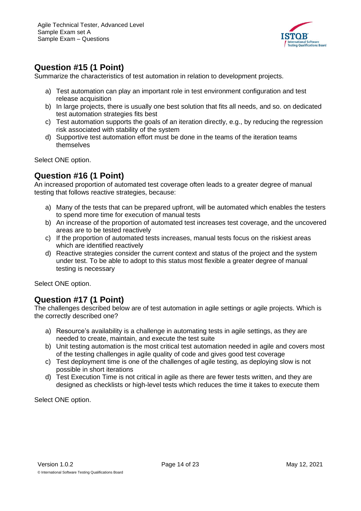

# <span id="page-13-0"></span>**Question #15 (1 Point)**

Summarize the characteristics of test automation in relation to development projects.

- a) Test automation can play an important role in test environment configuration and test release acquisition
- b) In large projects, there is usually one best solution that fits all needs, and so. on dedicated test automation strategies fits best
- c) Test automation supports the goals of an iteration directly, e.g., by reducing the regression risk associated with stability of the system
- d) Supportive test automation effort must be done in the teams of the iteration teams themselves

Select ONE option.

#### <span id="page-13-1"></span>**Question #16 (1 Point)**

An increased proportion of automated test coverage often leads to a greater degree of manual testing that follows reactive strategies, because:

- a) Many of the tests that can be prepared upfront, will be automated which enables the testers to spend more time for execution of manual tests
- b) An increase of the proportion of automated test increases test coverage, and the uncovered areas are to be tested reactively
- c) If the proportion of automated tests increases, manual tests focus on the riskiest areas which are identified reactively
- d) Reactive strategies consider the current context and status of the project and the system under test. To be able to adopt to this status most flexible a greater degree of manual testing is necessary

Select ONE option.

#### <span id="page-13-2"></span>**Question #17 (1 Point)**

The challenges described below are of test automation in agile settings or agile projects. Which is the correctly described one?

- a) Resource's availability is a challenge in automating tests in agile settings, as they are needed to create, maintain, and execute the test suite
- b) Unit testing automation is the most critical test automation needed in agile and covers most of the testing challenges in agile quality of code and gives good test coverage
- c) Test deployment time is one of the challenges of agile testing, as deploying slow is not possible in short iterations
- d) Test Execution Time is not critical in agile as there are fewer tests written, and they are designed as checklists or high-level tests which reduces the time it takes to execute them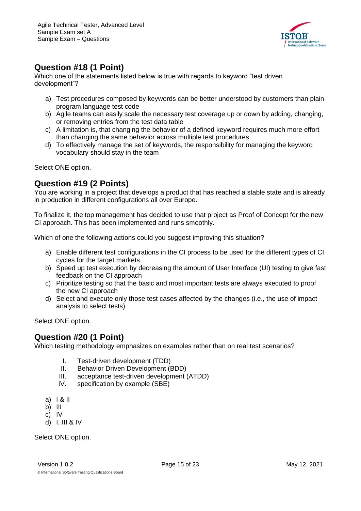

# <span id="page-14-0"></span>**Question #18 (1 Point)**

Which one of the statements listed below is true with regards to keyword "test driven development"?

- a) Test procedures composed by keywords can be better understood by customers than plain program language test code
- b) Agile teams can easily scale the necessary test coverage up or down by adding, changing, or removing entries from the test data table
- c) A limitation is, that changing the behavior of a defined keyword requires much more effort than changing the same behavior across multiple test procedures
- d) To effectively manage the set of keywords, the responsibility for managing the keyword vocabulary should stay in the team

Select ONE option.

#### <span id="page-14-1"></span>**Question #19 (2 Points)**

You are working in a project that develops a product that has reached a stable state and is already in production in different configurations all over Europe.

To finalize it, the top management has decided to use that project as Proof of Concept for the new CI approach. This has been implemented and runs smoothly.

Which of one the following actions could you suggest improving this situation?

- a) Enable different test configurations in the CI process to be used for the different types of CI cycles for the target markets
- b) Speed up test execution by decreasing the amount of User Interface (UI) testing to give fast feedback on the CI approach
- c) Prioritize testing so that the basic and most important tests are always executed to proof the new CI approach
- d) Select and execute only those test cases affected by the changes (i.e., the use of impact analysis to select tests)

Select ONE option.

#### <span id="page-14-2"></span>**Question #20 (1 Point)**

Which testing methodology emphasizes on examples rather than on real test scenarios?

- I. Test-driven development (TDD)
- II. Behavior Driven Development (BDD)
- III. acceptance test-driven development (ATDD)
- IV. specification by example (SBE)
- a) I & II
- b) III
- c) IV
- d) I, III & IV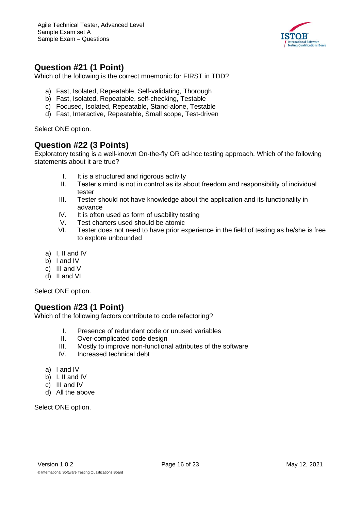

#### <span id="page-15-0"></span>**Question #21 (1 Point)**

Which of the following is the correct mnemonic for FIRST in TDD?

- a) Fast, Isolated, Repeatable, Self-validating, Thorough
- b) Fast, Isolated, Repeatable, self-checking, Testable
- c) Focused, Isolated, Repeatable, Stand-alone, Testable
- d) Fast, Interactive, Repeatable, Small scope, Test-driven

Select ONE option.

#### <span id="page-15-1"></span>**Question #22 (3 Points)**

Exploratory testing is a well-known On-the-fly OR ad-hoc testing approach. Which of the following statements about it are true?

- I. It is a structured and rigorous activity
- II. Tester's mind is not in control as its about freedom and responsibility of individual tester
- III. Tester should not have knowledge about the application and its functionality in advance
- IV. It is often used as form of usability testing
- V. Test charters used should be atomic
- VI. Tester does not need to have prior experience in the field of testing as he/she is free to explore unbounded
- a) I, II and IV
- b) I and IV
- c) III and V
- d) II and VI

Select ONE option.

#### <span id="page-15-2"></span>**Question #23 (1 Point)**

Which of the following factors contribute to code refactoring?

- I. Presence of redundant code or unused variables
- II. Over-complicated code design
- III. Mostly to improve non-functional attributes of the software
- IV. Increased technical debt
- a) I and IV
- b) I, II and IV
- c) III and IV
- d) All the above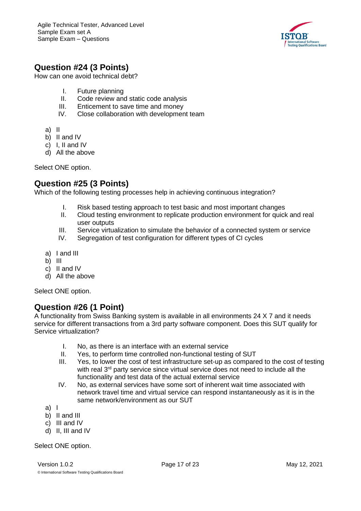

# <span id="page-16-0"></span>**Question #24 (3 Points)**

How can one avoid technical debt?

- I. Future planning
- II. Code review and static code analysis
- III. Enticement to save time and money
- IV. Close collaboration with development team

a) II

- b) II and IV
- c) I, II and IV
- d) All the above

Select ONE option.

#### <span id="page-16-1"></span>**Question #25 (3 Points)**

Which of the following testing processes help in achieving continuous integration?

- I. Risk based testing approach to test basic and most important changes
- II. Cloud testing environment to replicate production environment for quick and real user outputs
- III. Service virtualization to simulate the behavior of a connected system or service
- IV. Segregation of test configuration for different types of CI cycles
- a) I and III
- b) III
- c) II and IV
- d) All the above

Select ONE option.

#### <span id="page-16-2"></span>**Question #26 (1 Point)**

A functionality from Swiss Banking system is available in all environments 24 X 7 and it needs service for different transactions from a 3rd party software component. Does this SUT qualify for Service virtualization?

- I. No, as there is an interface with an external service
- II. Yes, to perform time controlled non-functional testing of SUT
- III. Yes, to lower the cost of test infrastructure set-up as compared to the cost of testing with real 3<sup>rd</sup> party service since virtual service does not need to include all the functionality and test data of the actual external service
- IV. No, as external services have some sort of inherent wait time associated with network travel time and virtual service can respond instantaneously as it is in the same network/environment as our SUT
- a) I
- b) II and III
- c) III and IV
- d) II, III and IV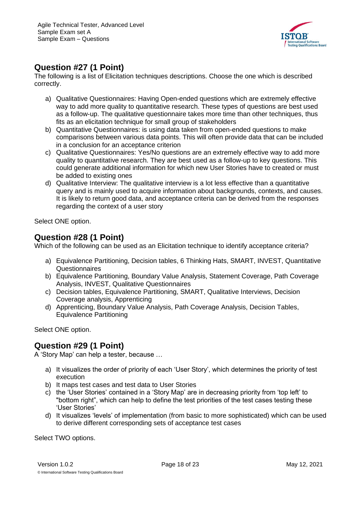

## <span id="page-17-0"></span>**Question #27 (1 Point)**

The following is a list of Elicitation techniques descriptions. Choose the one which is described correctly.

- a) Qualitative Questionnaires: Having Open-ended questions which are extremely effective way to add more quality to quantitative research. These types of questions are best used as a follow-up. The qualitative questionnaire takes more time than other techniques, thus fits as an elicitation technique for small group of stakeholders
- b) Quantitative Questionnaires: is using data taken from open-ended questions to make comparisons between various data points. This will often provide data that can be included in a conclusion for an acceptance criterion
- c) Qualitative Questionnaires: Yes/No questions are an extremely effective way to add more quality to quantitative research. They are best used as a follow-up to key questions. This could generate additional information for which new User Stories have to created or must be added to existing ones
- d) Qualitative Interview: The qualitative interview is a lot less effective than a quantitative query and is mainly used to acquire information about backgrounds, contexts, and causes. It is likely to return good data, and acceptance criteria can be derived from the responses regarding the context of a user story

Select ONE option.

#### <span id="page-17-1"></span>**Question #28 (1 Point)**

Which of the following can be used as an Elicitation technique to identify acceptance criteria?

- a) Equivalence Partitioning, Decision tables, 6 Thinking Hats, SMART, INVEST, Quantitative Questionnaires
- b) Equivalence Partitioning, Boundary Value Analysis, Statement Coverage, Path Coverage Analysis, INVEST, Qualitative Questionnaires
- c) Decision tables, Equivalence Partitioning, SMART, Qualitative Interviews, Decision Coverage analysis, Apprenticing
- d) Apprenticing, Boundary Value Analysis, Path Coverage Analysis, Decision Tables, Equivalence Partitioning

Select ONE option.

#### <span id="page-17-2"></span>**Question #29 (1 Point)**

A 'Story Map' can help a tester, because …

- a) It visualizes the order of priority of each 'User Story', which determines the priority of test execution
- b) It maps test cases and test data to User Stories
- c) the 'User Stories' contained in a 'Story Map' are in decreasing priority from 'top left' to "bottom right", which can help to define the test priorities of the test cases testing these 'User Stories'
- d) It visualizes 'levels' of implementation (from basic to more sophisticated) which can be used to derive different corresponding sets of acceptance test cases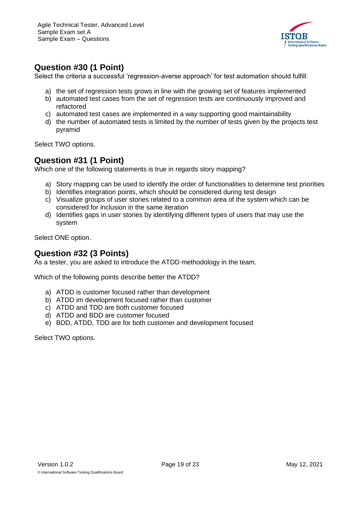

# <span id="page-18-0"></span>**Question #30 (1 Point)**

Select the criteria a successful 'regression-averse approach' for test automation should fulfill:

- a) the set of regression tests grows in line with the growing set of features implemented
- b) automated test cases from the set of regression tests are continuously improved and refactored
- c) automated test cases are implemented in a way supporting good maintainability
- d) the number of automated tests is limited by the number of tests given by the projects test pyramid

Select TWO options.

#### <span id="page-18-1"></span>**Question #31 (1 Point)**

Which one of the following statements is true in regards story mapping?

- a) Story mapping can be used to identify the order of functionalities to determine test priorities
- b) Identifies integration points, which should be considered during test design
- c) Visualize groups of user stories related to a common area of the system which can be considered for inclusion in the same iteration
- d) Identifies gaps in user stories by identifying different types of users that may use the system

Select ONE option.

#### <span id="page-18-2"></span>**Question #32 (3 Points)**

As a tester, you are asked to introduce the ATDD methodology in the team.

Which of the following points describe better the ATDD?

- a) ATDD is customer focused rather than development
- b) ATDD im development focused rather than customer
- c) ATDD and TDD are both customer focused
- d) ATDD and BDD are customer focused
- e) BDD, ATDD, TDD are for both customer and development focused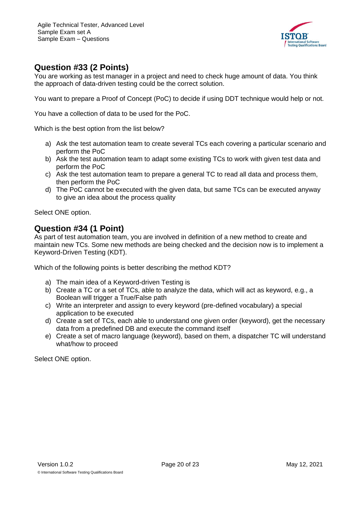

## <span id="page-19-0"></span>**Question #33 (2 Points)**

You are working as test manager in a project and need to check huge amount of data. You think the approach of data-driven testing could be the correct solution.

You want to prepare a Proof of Concept (PoC) to decide if using DDT technique would help or not.

You have a collection of data to be used for the PoC.

Which is the best option from the list below?

- a) Ask the test automation team to create several TCs each covering a particular scenario and perform the PoC
- b) Ask the test automation team to adapt some existing TCs to work with given test data and perform the PoC
- c) Ask the test automation team to prepare a general TC to read all data and process them, then perform the PoC
- d) The PoC cannot be executed with the given data, but same TCs can be executed anyway to give an idea about the process quality

Select ONE option.

#### <span id="page-19-1"></span>**Question #34 (1 Point)**

As part of test automation team, you are involved in definition of a new method to create and maintain new TCs. Some new methods are being checked and the decision now is to implement a Keyword-Driven Testing (KDT).

Which of the following points is better describing the method KDT?

- a) The main idea of a Keyword-driven Testing is
- b) Create a TC or a set of TCs, able to analyze the data, which will act as keyword, e.g., a Boolean will trigger a True/False path
- c) Write an interpreter and assign to every keyword (pre-defined vocabulary) a special application to be executed
- d) Create a set of TCs, each able to understand one given order (keyword), get the necessary data from a predefined DB and execute the command itself
- e) Create a set of macro language (keyword), based on them, a dispatcher TC will understand what/how to proceed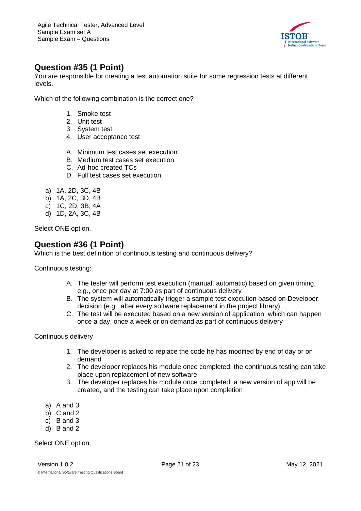

# <span id="page-20-0"></span>**Question #35 (1 Point)**

You are responsible for creating a test automation suite for some regression tests at different levels.

Which of the following combination is the correct one?

- 1. Smoke test
- 2. Unit test
- 3. System test
- 4. User acceptance test
- A. Minimum test cases set execution
- B. Medium test cases set execution
- C. Ad-hoc created TCs
- D. Full test cases set execution
- a) 1A, 2D, 3C, 4B
- b) 1A, 2C, 3D, 4B
- c) 1C, 2D, 3B, 4A
- d) 1D, 2A, 3C, 4B

Select ONE option.

#### <span id="page-20-1"></span>**Question #36 (1 Point)**

Which is the best definition of continuous testing and continuous delivery?

Continuous testing:

- A. The tester will perform test execution (manual, automatic) based on given timing, e.g., once per day at 7:00 as part of continuous delivery
- B. The system will automatically trigger a sample test execution based on Developer decision (e.g., after every software replacement in the project library)
- C. The test will be executed based on a new version of application, which can happen once a day, once a week or on demand as part of continuous delivery

Continuous delivery

- 1. The developer is asked to replace the code he has modified by end of day or on demand
- 2. The developer replaces his module once completed, the continuous testing can take place upon replacement of new software
- 3. The developer replaces his module once completed, a new version of app will be created, and the testing can take place upon completion
- a) A and 3
- b) C and 2
- c) B and 3
- d) B and 2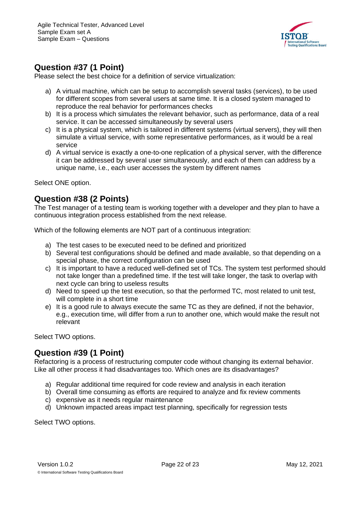

# <span id="page-21-0"></span>**Question #37 (1 Point)**

Please select the best choice for a definition of service virtualization:

- a) A virtual machine, which can be setup to accomplish several tasks (services), to be used for different scopes from several users at same time. It is a closed system managed to reproduce the real behavior for performances checks
- b) It is a process which simulates the relevant behavior, such as performance, data of a real service. It can be accessed simultaneously by several users
- c) It is a physical system, which is tailored in different systems (virtual servers), they will then simulate a virtual service, with some representative performances, as it would be a real service
- d) A virtual service is exactly a one-to-one replication of a physical server, with the difference it can be addressed by several user simultaneously, and each of them can address by a unique name, i.e., each user accesses the system by different names

Select ONE option.

#### <span id="page-21-1"></span>**Question #38 (2 Points)**

The Test manager of a testing team is working together with a developer and they plan to have a continuous integration process established from the next release.

Which of the following elements are NOT part of a continuous integration:

- a) The test cases to be executed need to be defined and prioritized
- b) Several test configurations should be defined and made available, so that depending on a special phase, the correct configuration can be used
- c) It is important to have a reduced well-defined set of TCs. The system test performed should not take longer than a predefined time. If the test will take longer, the task to overlap with next cycle can bring to useless results
- d) Need to speed up the test execution, so that the performed TC, most related to unit test, will complete in a short time
- e) It is a good rule to always execute the same TC as they are defined, if not the behavior, e.g., execution time, will differ from a run to another one, which would make the result not relevant

Select TWO options.

#### <span id="page-21-2"></span>**Question #39 (1 Point)**

Refactoring is a process of restructuring computer code without changing its external behavior. Like all other process it had disadvantages too. Which ones are its disadvantages?

- a) Regular additional time required for code review and analysis in each iteration
- b) Overall time consuming as efforts are required to analyze and fix review comments
- c) expensive as it needs regular maintenance
- d) Unknown impacted areas impact test planning, specifically for regression tests